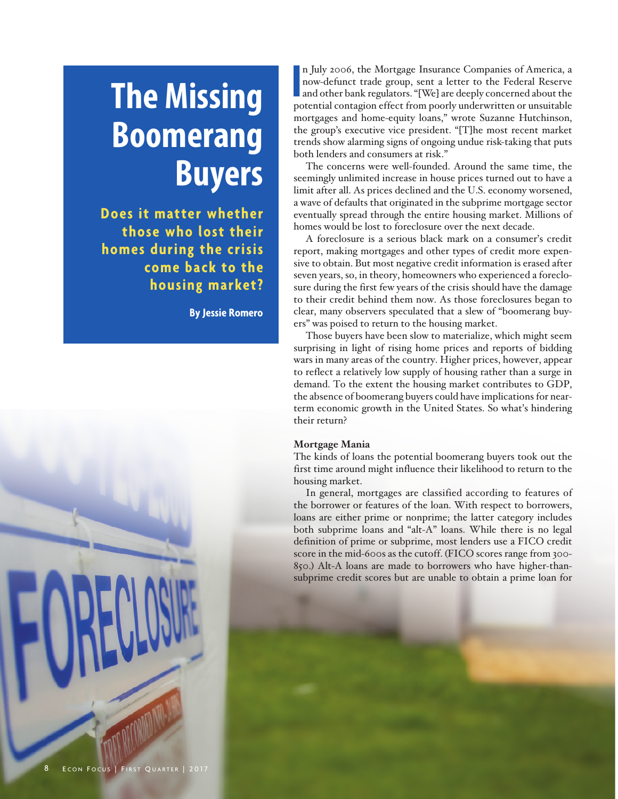# **The Missing Boomerang Buyers**

**Does it matter whether those who lost their homes during the crisis come back to the housing market?** 

**By Jessie Romero**



In July 2006, the Mortgage Insurance Companies of America, a now-defunct trade group, sent a letter to the Federal Reserve and other bank regulators. "[We] are deeply concerned about the potential contagion effect from poo n July 2006, the Mortgage Insurance Companies of America, a now-defunct trade group, sent a letter to the Federal Reserve and other bank regulators. "[We] are deeply concerned about the mortgages and home-equity loans," wrote Suzanne Hutchinson, the group's executive vice president. "[T]he most recent market trends show alarming signs of ongoing undue risk-taking that puts both lenders and consumers at risk."

The concerns were well-founded. Around the same time, the seemingly unlimited increase in house prices turned out to have a limit after all. As prices declined and the U.S. economy worsened, a wave of defaults that originated in the subprime mortgage sector eventually spread through the entire housing market. Millions of homes would be lost to foreclosure over the next decade.

A foreclosure is a serious black mark on a consumer's credit report, making mortgages and other types of credit more expensive to obtain. But most negative credit information is erased after seven years, so, in theory, homeowners who experienced a foreclosure during the first few years of the crisis should have the damage to their credit behind them now. As those foreclosures began to clear, many observers speculated that a slew of "boomerang buyers" was poised to return to the housing market.

Those buyers have been slow to materialize, which might seem surprising in light of rising home prices and reports of bidding wars in many areas of the country. Higher prices, however, appear to reflect a relatively low supply of housing rather than a surge in demand. To the extent the housing market contributes to GDP, the absence of boomerang buyers could have implications for nearterm economic growth in the United States. So what's hindering their return?

## **Mortgage Mania**

The kinds of loans the potential boomerang buyers took out the first time around might influence their likelihood to return to the housing market.

In general, mortgages are classified according to features of the borrower or features of the loan. With respect to borrowers, loans are either prime or nonprime; the latter category includes both subprime loans and "alt-A" loans. While there is no legal definition of prime or subprime, most lenders use a FICO credit score in the mid-600s as the cutoff. (FICO scores range from 300- 850.) Alt-A loans are made to borrowers who have higher-thansubprime credit scores but are unable to obtain a prime loan for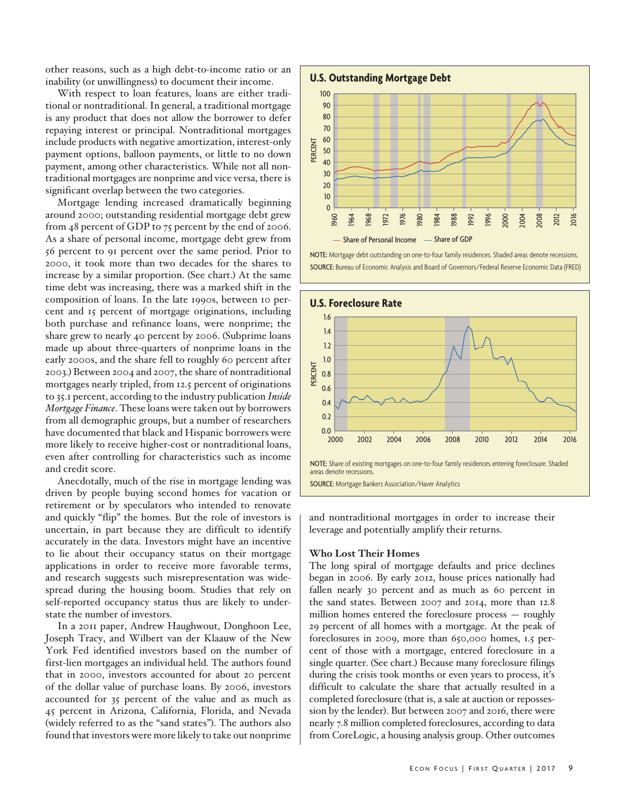other reasons, such as a high debt-to-income ratio or an inability (or unwillingness) to document their income.

With respect to loan features, loans are either traditional or nontraditional. In general, a traditional mortgage is any product that does not allow the borrower to defer repaying interest or principal. Nontraditional mortgages include products with negative amortization, interest-only payment options, balloon payments, or little to no down payment, among other characteristics. While not all nontraditional mortgages are nonprime and vice versa, there is significant overlap between the two categories.

Mortgage lending increased dramatically beginning around 2000; outstanding residential mortgage debt grew from 48 percent of GDP to 75 percent by the end of 2006. As a share of personal income, mortgage debt grew from 56 percent to 91 percent over the same period. Prior to 2000, it took more than two decades for the shares to increase by a similar proportion. (See chart.) At the same time debt was increasing, there was a marked shift in the composition of loans. In the late 1990s, between 10 percent and 15 percent of mortgage originations, including both purchase and refinance loans, were nonprime; the share grew to nearly 40 percent by 2006. (Subprime loans made up about three-quarters of nonprime loans in the early 2000s, and the share fell to roughly 60 percent after 2003.) Between 2004 and 2007, the share of nontraditional mortgages nearly tripled, from 12.5 percent of originations to 35.1 percent, according to the industry publication *Inside Mortgage Finance*. These loans were taken out by borrowers from all demographic groups, but a number of researchers have documented that black and Hispanic borrowers were more likely to receive higher-cost or nontraditional loans, even after controlling for characteristics such as income and credit score.

Anecdotally, much of the rise in mortgage lending was driven by people buying second homes for vacation or retirement or by speculators who intended to renovate and quickly "flip" the homes. But the role of investors is uncertain, in part because they are difficult to identify accurately in the data. Investors might have an incentive to lie about their occupancy status on their mortgage applications in order to receive more favorable terms, and research suggests such misrepresentation was widespread during the housing boom. Studies that rely on self-reported occupancy status thus are likely to understate the number of investors.

In a 2011 paper, Andrew Haughwout, Donghoon Lee, Joseph Tracy, and Wilbert van der Klaauw of the New York Fed identified investors based on the number of first-lien mortgages an individual held. The authors found that in 2000, investors accounted for about 20 percent of the dollar value of purchase loans. By 2006, investors accounted for 35 percent of the value and as much as 45 percent in Arizona, California, Florida, and Nevada (widely referred to as the "sand states"). The authors also found that investors were more likely to take out nonprime

## **U.S. Outstanding Mortgage Debt**



NOTE: Mortgage debt outstanding on one-to-four family residences. Shaded areas denote recessions. SOURCE: Bureau of Economic Analysis and Board of Governors/Federal Reserve Economic Data (FRED)



SOURCE: Mortgage Bankers Association/Haver Analytics

and nontraditional mortgages in order to increase their leverage and potentially amplify their returns.

#### **Who Lost Their Homes**

The long spiral of mortgage defaults and price declines began in 2006. By early 2012, house prices nationally had fallen nearly 30 percent and as much as 60 percent in the sand states. Between 2007 and 2014, more than 12.8 million homes entered the foreclosure process — roughly 29 percent of all homes with a mortgage. At the peak of foreclosures in 2009, more than 650,000 homes, 1.5 percent of those with a mortgage, entered foreclosure in a single quarter. (See chart.) Because many foreclosure filings during the crisis took months or even years to process, it's difficult to calculate the share that actually resulted in a completed foreclosure (that is, a sale at auction or repossession by the lender). But between 2007 and 2016, there were nearly 7.8 million completed foreclosures, according to data from CoreLogic, a housing analysis group. Other outcomes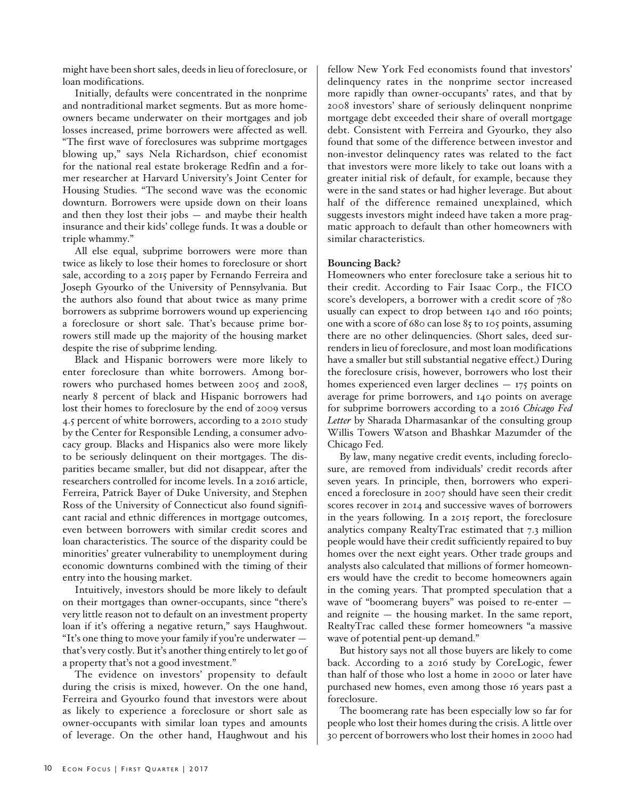might have been short sales, deeds in lieu of foreclosure, or loan modifications.

Initially, defaults were concentrated in the nonprime and nontraditional market segments. But as more homeowners became underwater on their mortgages and job losses increased, prime borrowers were affected as well. "The first wave of foreclosures was subprime mortgages blowing up," says Nela Richardson, chief economist for the national real estate brokerage Redfin and a former researcher at Harvard University's Joint Center for Housing Studies. "The second wave was the economic downturn. Borrowers were upside down on their loans and then they lost their jobs — and maybe their health insurance and their kids' college funds. It was a double or triple whammy."

All else equal, subprime borrowers were more than twice as likely to lose their homes to foreclosure or short sale, according to a 2015 paper by Fernando Ferreira and Joseph Gyourko of the University of Pennsylvania. But the authors also found that about twice as many prime borrowers as subprime borrowers wound up experiencing a foreclosure or short sale. That's because prime borrowers still made up the majority of the housing market despite the rise of subprime lending.

Black and Hispanic borrowers were more likely to enter foreclosure than white borrowers. Among borrowers who purchased homes between 2005 and 2008, nearly 8 percent of black and Hispanic borrowers had lost their homes to foreclosure by the end of 2009 versus 4.5 percent of white borrowers, according to a 2010 study by the Center for Responsible Lending, a consumer advocacy group. Blacks and Hispanics also were more likely to be seriously delinquent on their mortgages. The disparities became smaller, but did not disappear, after the researchers controlled for income levels. In a 2016 article, Ferreira, Patrick Bayer of Duke University, and Stephen Ross of the University of Connecticut also found significant racial and ethnic differences in mortgage outcomes, even between borrowers with similar credit scores and loan characteristics. The source of the disparity could be minorities' greater vulnerability to unemployment during economic downturns combined with the timing of their entry into the housing market.

Intuitively, investors should be more likely to default on their mortgages than owner-occupants, since "there's very little reason not to default on an investment property loan if it's offering a negative return," says Haughwout. "It's one thing to move your family if you're underwater that's very costly. But it's another thing entirely to let go of a property that's not a good investment."

The evidence on investors' propensity to default during the crisis is mixed, however. On the one hand, Ferreira and Gyourko found that investors were about as likely to experience a foreclosure or short sale as owner-occupants with similar loan types and amounts of leverage. On the other hand, Haughwout and his

fellow New York Fed economists found that investors' delinquency rates in the nonprime sector increased more rapidly than owner-occupants' rates, and that by 2008 investors' share of seriously delinquent nonprime mortgage debt exceeded their share of overall mortgage debt. Consistent with Ferreira and Gyourko, they also found that some of the difference between investor and non-investor delinquency rates was related to the fact that investors were more likely to take out loans with a greater initial risk of default, for example, because they were in the sand states or had higher leverage. But about half of the difference remained unexplained, which suggests investors might indeed have taken a more pragmatic approach to default than other homeowners with similar characteristics.

## **Bouncing Back?**

Homeowners who enter foreclosure take a serious hit to their credit. According to Fair Isaac Corp., the FICO score's developers, a borrower with a credit score of 780 usually can expect to drop between 140 and 160 points; one with a score of 680 can lose 85 to 105 points, assuming there are no other delinquencies. (Short sales, deed surrenders in lieu of foreclosure, and most loan modifications have a smaller but still substantial negative effect.) During the foreclosure crisis, however, borrowers who lost their homes experienced even larger declines — 175 points on average for prime borrowers, and 140 points on average for subprime borrowers according to a 2016 *Chicago Fed Letter* by Sharada Dharmasankar of the consulting group Willis Towers Watson and Bhashkar Mazumder of the Chicago Fed.

By law, many negative credit events, including foreclosure, are removed from individuals' credit records after seven years. In principle, then, borrowers who experienced a foreclosure in 2007 should have seen their credit scores recover in 2014 and successive waves of borrowers in the years following. In a 2015 report, the foreclosure analytics company RealtyTrac estimated that 7.3 million people would have their credit sufficiently repaired to buy homes over the next eight years. Other trade groups and analysts also calculated that millions of former homeowners would have the credit to become homeowners again in the coming years. That prompted speculation that a wave of "boomerang buyers" was poised to re-enter and reignite — the housing market. In the same report, RealtyTrac called these former homeowners "a massive wave of potential pent-up demand."

But history says not all those buyers are likely to come back. According to a 2016 study by CoreLogic, fewer than half of those who lost a home in 2000 or later have purchased new homes, even among those 16 years past a foreclosure.

The boomerang rate has been especially low so far for people who lost their homes during the crisis. A little over 30 percent of borrowers who lost their homes in 2000 had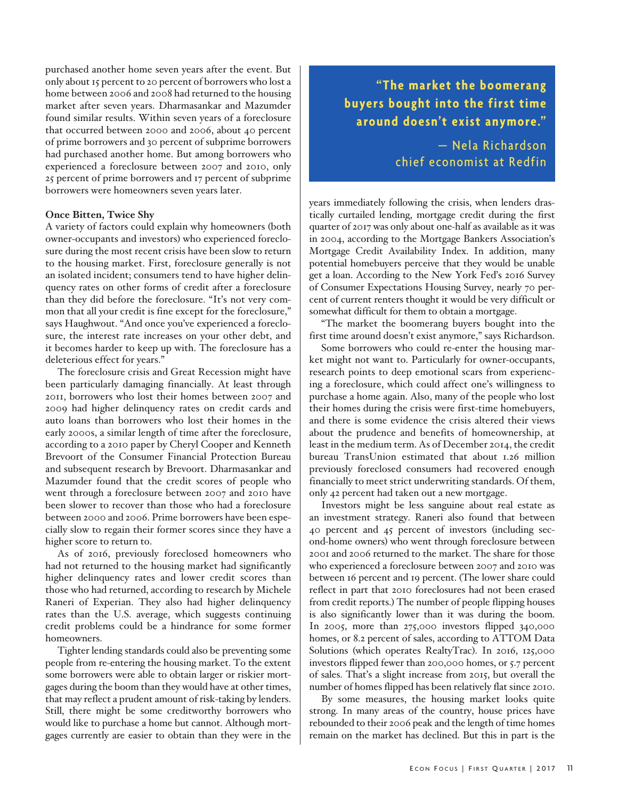purchased another home seven years after the event. But only about 15 percent to 20 percent of borrowers who lost a home between 2006 and 2008 had returned to the housing market after seven years. Dharmasankar and Mazumder found similar results. Within seven years of a foreclosure that occurred between 2000 and 2006, about 40 percent of prime borrowers and 30 percent of subprime borrowers had purchased another home. But among borrowers who experienced a foreclosure between 2007 and 2010, only 25 percent of prime borrowers and 17 percent of subprime borrowers were homeowners seven years later.

#### **Once Bitten, Twice Shy**

A variety of factors could explain why homeowners (both owner-occupants and investors) who experienced foreclosure during the most recent crisis have been slow to return to the housing market. First, foreclosure generally is not an isolated incident; consumers tend to have higher delinquency rates on other forms of credit after a foreclosure than they did before the foreclosure. "It's not very common that all your credit is fine except for the foreclosure," says Haughwout. "And once you've experienced a foreclosure, the interest rate increases on your other debt, and it becomes harder to keep up with. The foreclosure has a deleterious effect for years."

The foreclosure crisis and Great Recession might have been particularly damaging financially. At least through 2011, borrowers who lost their homes between 2007 and 2009 had higher delinquency rates on credit cards and auto loans than borrowers who lost their homes in the early 2000s, a similar length of time after the foreclosure, according to a 2010 paper by Cheryl Cooper and Kenneth Brevoort of the Consumer Financial Protection Bureau and subsequent research by Brevoort. Dharmasankar and Mazumder found that the credit scores of people who went through a foreclosure between 2007 and 2010 have been slower to recover than those who had a foreclosure between 2000 and 2006. Prime borrowers have been especially slow to regain their former scores since they have a higher score to return to.

As of 2016, previously foreclosed homeowners who had not returned to the housing market had significantly higher delinquency rates and lower credit scores than those who had returned, according to research by Michele Raneri of Experian. They also had higher delinquency rates than the U.S. average, which suggests continuing credit problems could be a hindrance for some former homeowners.

Tighter lending standards could also be preventing some people from re-entering the housing market. To the extent some borrowers were able to obtain larger or riskier mortgages during the boom than they would have at other times, that may reflect a prudent amount of risk-taking by lenders. Still, there might be some creditworthy borrowers who would like to purchase a home but cannot. Although mortgages currently are easier to obtain than they were in the

**"The market the boomerang buyers bought into the first time around doesn't exist anymore."** 

> — Nela Richardson chief economist at Redfin

years immediately following the crisis, when lenders drastically curtailed lending, mortgage credit during the first quarter of 2017 was only about one-half as available as it was in 2004, according to the Mortgage Bankers Association's Mortgage Credit Availability Index. In addition, many potential homebuyers perceive that they would be unable get a loan. According to the New York Fed's 2016 Survey of Consumer Expectations Housing Survey, nearly 70 percent of current renters thought it would be very difficult or somewhat difficult for them to obtain a mortgage.

"The market the boomerang buyers bought into the first time around doesn't exist anymore," says Richardson.

Some borrowers who could re-enter the housing market might not want to. Particularly for owner-occupants, research points to deep emotional scars from experiencing a foreclosure, which could affect one's willingness to purchase a home again. Also, many of the people who lost their homes during the crisis were first-time homebuyers, and there is some evidence the crisis altered their views about the prudence and benefits of homeownership, at least in the medium term. As of December 2014, the credit bureau TransUnion estimated that about 1.26 million previously foreclosed consumers had recovered enough financially to meet strict underwriting standards. Of them, only 42 percent had taken out a new mortgage.

Investors might be less sanguine about real estate as an investment strategy. Raneri also found that between 40 percent and 45 percent of investors (including second-home owners) who went through foreclosure between 2001 and 2006 returned to the market. The share for those who experienced a foreclosure between 2007 and 2010 was between 16 percent and 19 percent. (The lower share could reflect in part that 2010 foreclosures had not been erased from credit reports.) The number of people flipping houses is also significantly lower than it was during the boom. In 2005, more than 275,000 investors flipped 340,000 homes, or 8.2 percent of sales, according to ATTOM Data Solutions (which operates RealtyTrac). In 2016, 125,000 investors flipped fewer than 200,000 homes, or 5.7 percent of sales. That's a slight increase from 2015, but overall the number of homes flipped has been relatively flat since 2010.

By some measures, the housing market looks quite strong. In many areas of the country, house prices have rebounded to their 2006 peak and the length of time homes remain on the market has declined. But this in part is the